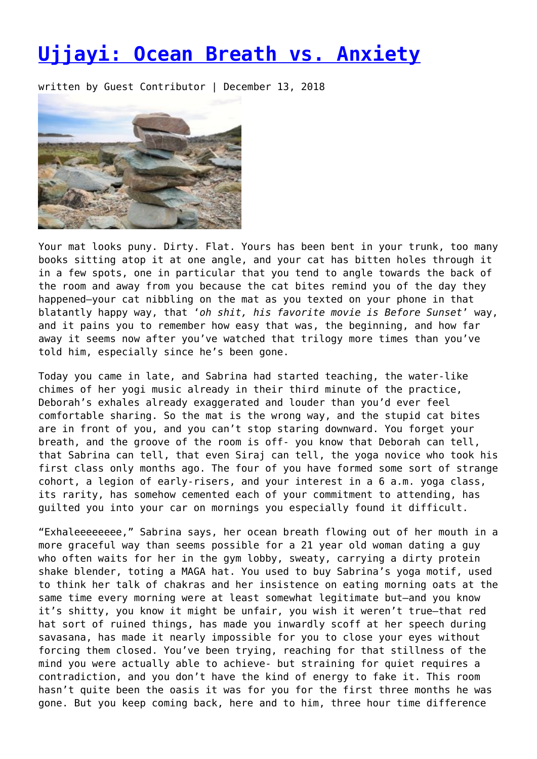## **[Ujjayi: Ocean Breath vs. Anxiety](https://entropymag.org/ujjayi-ocean-breath-vs-anxiety/)**

written by Guest Contributor | December 13, 2018



Your mat looks puny. Dirty. Flat. Yours has been bent in your trunk, too many books sitting atop it at one angle, and your cat has bitten holes through it in a few spots, one in particular that you tend to angle towards the back of the room and away from you because the cat bites remind you of the day they happened—your cat nibbling on the mat as you texted on your phone in that blatantly happy way, that '*oh shit, his favorite movie is Before Sunset*' way, and it pains you to remember how easy that was, the beginning, and how far away it seems now after you've watched that trilogy more times than you've told him, especially since he's been gone.

Today you came in late, and Sabrina had started teaching, the water-like chimes of her yogi music already in their third minute of the practice, Deborah's exhales already exaggerated and louder than you'd ever feel comfortable sharing. So the mat is the wrong way, and the stupid cat bites are in front of you, and you can't stop staring downward. You forget your breath, and the groove of the room is off- you know that Deborah can tell, that Sabrina can tell, that even Siraj can tell, the yoga novice who took his first class only months ago. The four of you have formed some sort of strange cohort, a legion of early-risers, and your interest in a 6 a.m. yoga class, its rarity, has somehow cemented each of your commitment to attending, has guilted you into your car on mornings you especially found it difficult.

"Exhaleeeeeeee," Sabrina says, her ocean breath flowing out of her mouth in a more graceful way than seems possible for a 21 year old woman dating a guy who often waits for her in the gym lobby, sweaty, carrying a dirty protein shake blender, toting a MAGA hat. You used to buy Sabrina's yoga motif, used to think her talk of chakras and her insistence on eating morning oats at the same time every morning were at least somewhat legitimate but—and you know it's shitty, you know it might be unfair, you wish it weren't true—that red hat sort of ruined things, has made you inwardly scoff at her speech during savasana, has made it nearly impossible for you to close your eyes without forcing them closed. You've been trying, reaching for that stillness of the mind you were actually able to achieve- but straining for quiet requires a contradiction, and you don't have the kind of energy to fake it. This room hasn't quite been the oasis it was for you for the first three months he was gone. But you keep coming back, here and to him, three hour time difference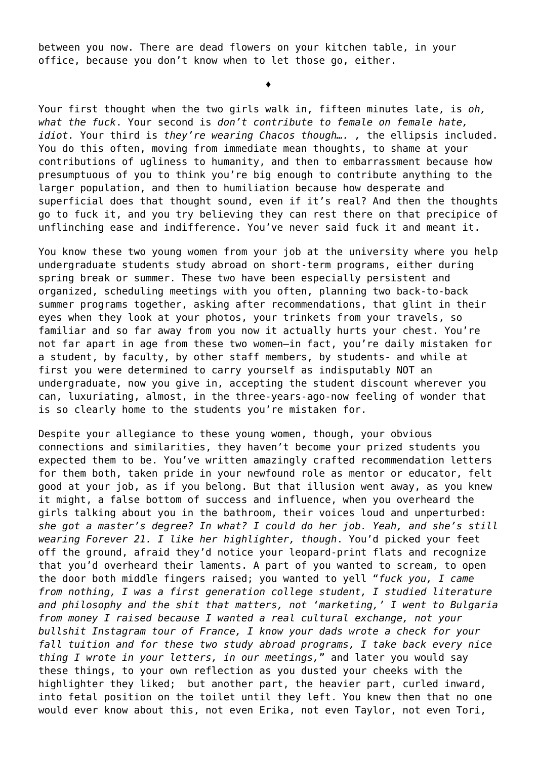between you now. There are dead flowers on your kitchen table, in your office, because you don't know when to let those go, either.

♦

Your first thought when the two girls walk in, fifteen minutes late, is *oh, what the fuck*. Your second is *don't contribute to female on female hate, idiot.* Your third is *they're wearing Chacos though…. ,* the ellipsis included. You do this often, moving from immediate mean thoughts, to shame at your contributions of ugliness to humanity, and then to embarrassment because how presumptuous of you to think you're big enough to contribute anything to the larger population, and then to humiliation because how desperate and superficial does that thought sound, even if it's real? And then the thoughts go to fuck it, and you try believing they can rest there on that precipice of unflinching ease and indifference. You've never said fuck it and meant it.

You know these two young women from your job at the university where you help undergraduate students study abroad on short-term programs, either during spring break or summer. These two have been especially persistent and organized, scheduling meetings with you often, planning two back-to-back summer programs together, asking after recommendations, that glint in their eyes when they look at your photos, your trinkets from your travels, so familiar and so far away from you now it actually hurts your chest. You're not far apart in age from these two women—in fact, you're daily mistaken for a student, by faculty, by other staff members, by students- and while at first you were determined to carry yourself as indisputably NOT an undergraduate, now you give in, accepting the student discount wherever you can, luxuriating, almost, in the three-years-ago-now feeling of wonder that is so clearly home to the students you're mistaken for.

Despite your allegiance to these young women, though, your obvious connections and similarities, they haven't become your prized students you expected them to be. You've written amazingly crafted recommendation letters for them both, taken pride in your newfound role as mentor or educator, felt good at your job, as if you belong. But that illusion went away, as you knew it might, a false bottom of success and influence, when you overheard the girls talking about you in the bathroom, their voices loud and unperturbed: *she got a master's degree? In what? I could do her job. Yeah, and she's still wearing Forever 21. I like her highlighter, though*. You'd picked your feet off the ground, afraid they'd notice your leopard-print flats and recognize that you'd overheard their laments. A part of you wanted to scream, to open the door both middle fingers raised; you wanted to yell "*fuck you, I came from nothing, I was a first generation college student, I studied literature and philosophy and the shit that matters, not 'marketing,' I went to Bulgaria from money I raised because I wanted a real cultural exchange, not your bullshit Instagram tour of France, I know your dads wrote a check for your fall tuition and for these two study abroad programs, I take back every nice thing I wrote in your letters, in our meetings,*" and later you would say these things, to your own reflection as you dusted your cheeks with the highlighter they liked; but another part, the heavier part, curled inward, into fetal position on the toilet until they left. You knew then that no one would ever know about this, not even Erika, not even Taylor, not even Tori,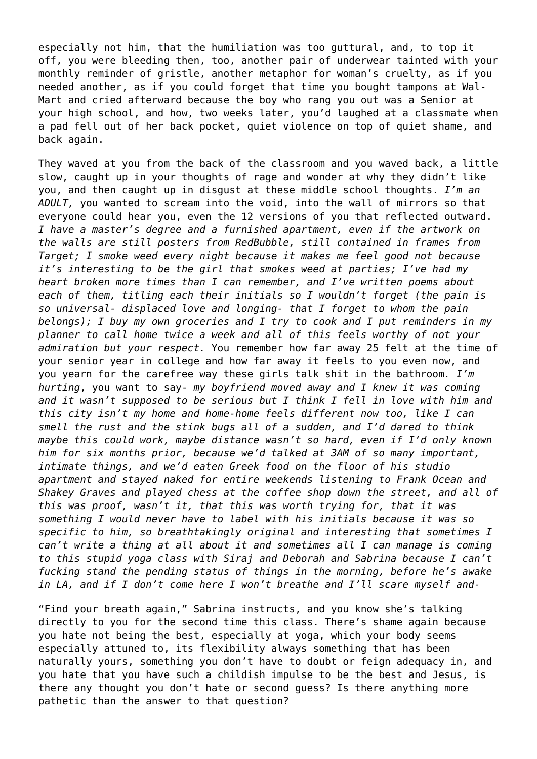especially not him, that the humiliation was too guttural, and, to top it off, you were bleeding then, too, another pair of underwear tainted with your monthly reminder of gristle, another metaphor for woman's cruelty, as if you needed another, as if you could forget that time you bought tampons at Wal-Mart and cried afterward because the boy who rang you out was a Senior at your high school, and how, two weeks later, you'd laughed at a classmate when a pad fell out of her back pocket, quiet violence on top of quiet shame, and back again.

They waved at you from the back of the classroom and you waved back, a little slow, caught up in your thoughts of rage and wonder at why they didn't like you, and then caught up in disgust at these middle school thoughts. *I'm an ADULT,* you wanted to scream into the void, into the wall of mirrors so that everyone could hear you, even the 12 versions of you that reflected outward. *I have a master's degree and a furnished apartment, even if the artwork on the walls are still posters from RedBubble, still contained in frames from Target; I smoke weed every night because it makes me feel good not because it's interesting to be the girl that smokes weed at parties; I've had my heart broken more times than I can remember, and I've written poems about each of them, titling each their initials so I wouldn't forget (the pain is so universal- displaced love and longing- that I forget to whom the pain belongs); I buy my own groceries and I try to cook and I put reminders in my planner to call home twice a week and all of this feels worthy of not your admiration but your respect.* You remember how far away 25 felt at the time of your senior year in college and how far away it feels to you even now, and you yearn for the carefree way these girls talk shit in the bathroom*. I'm hurting*, you want to say- *my boyfriend moved away and I knew it was coming and it wasn't supposed to be serious but I think I fell in love with him and this city isn't my home and home-home feels different now too, like I can smell the rust and the stink bugs all of a sudden, and I'd dared to think maybe this could work, maybe distance wasn't so hard, even if I'd only known him for six months prior, because we'd talked at 3AM of so many important, intimate things, and we'd eaten Greek food on the floor of his studio apartment and stayed naked for entire weekends listening to Frank Ocean and Shakey Graves and played chess at the coffee shop down the street, and all of this was proof, wasn't it, that this was worth trying for, that it was something I would never have to label with his initials because it was so specific to him, so breathtakingly original and interesting that sometimes I can't write a thing at all about it and sometimes all I can manage is coming to this stupid yoga class with Siraj and Deborah and Sabrina because I can't fucking stand the pending status of things in the morning, before he's awake in LA, and if I don't come here I won't breathe and I'll scare myself and-*

"Find your breath again," Sabrina instructs, and you know she's talking directly to you for the second time this class. There's shame again because you hate not being the best, especially at yoga, which your body seems especially attuned to, its flexibility always something that has been naturally yours, something you don't have to doubt or feign adequacy in, and you hate that you have such a childish impulse to be the best and Jesus, is there any thought you don't hate or second guess? Is there anything more pathetic than the answer to that question?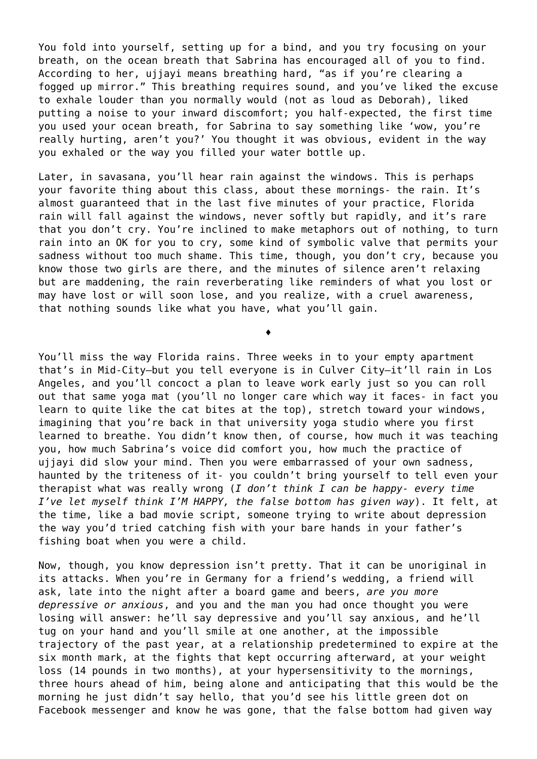You fold into yourself, setting up for a bind, and you try focusing on your breath, on the ocean breath that Sabrina has encouraged all of you to find. According to her, ujjayi means breathing hard, "as if you're clearing a fogged up mirror." This breathing requires sound, and you've liked the excuse to exhale louder than you normally would (not as loud as Deborah), liked putting a noise to your inward discomfort; you half-expected, the first time you used your ocean breath, for Sabrina to say something like 'wow, you're really hurting, aren't you?' You thought it was obvious, evident in the way you exhaled or the way you filled your water bottle up.

Later, in savasana, you'll hear rain against the windows. This is perhaps your favorite thing about this class, about these mornings- the rain. It's almost guaranteed that in the last five minutes of your practice, Florida rain will fall against the windows, never softly but rapidly, and it's rare that you don't cry. You're inclined to make metaphors out of nothing, to turn rain into an OK for you to cry, some kind of symbolic valve that permits your sadness without too much shame. This time, though, you don't cry, because you know those two girls are there, and the minutes of silence aren't relaxing but are maddening, the rain reverberating like reminders of what you lost or may have lost or will soon lose, and you realize, with a cruel awareness, that nothing sounds like what you have, what you'll gain.

♦

You'll miss the way Florida rains. Three weeks in to your empty apartment that's in Mid-City—but you tell everyone is in Culver City—it'll rain in Los Angeles, and you'll concoct a plan to leave work early just so you can roll out that same yoga mat (you'll no longer care which way it faces- in fact you learn to quite like the cat bites at the top), stretch toward your windows, imagining that you're back in that university yoga studio where you first learned to breathe. You didn't know then, of course, how much it was teaching you, how much Sabrina's voice did comfort you, how much the practice of ujjayi did slow your mind. Then you were embarrassed of your own sadness, haunted by the triteness of it- you couldn't bring yourself to tell even your therapist what was really wrong (*I don't think I can be happy- every time I've let myself think I'M HAPPY, the false bottom has given way*). It felt, at the time, like a bad movie script, someone trying to write about depression the way you'd tried catching fish with your bare hands in your father's fishing boat when you were a child.

Now, though, you know depression isn't pretty. That it can be unoriginal in its attacks. When you're in Germany for a friend's wedding, a friend will ask, late into the night after a board game and beers, *are you more depressive or anxious*, and you and the man you had once thought you were losing will answer: he'll say depressive and you'll say anxious, and he'll tug on your hand and you'll smile at one another, at the impossible trajectory of the past year, at a relationship predetermined to expire at the six month mark, at the fights that kept occurring afterward, at your weight loss (14 pounds in two months), at your hypersensitivity to the mornings, three hours ahead of him, being alone and anticipating that this would be the morning he just didn't say hello, that you'd see his little green dot on Facebook messenger and know he was gone, that the false bottom had given way